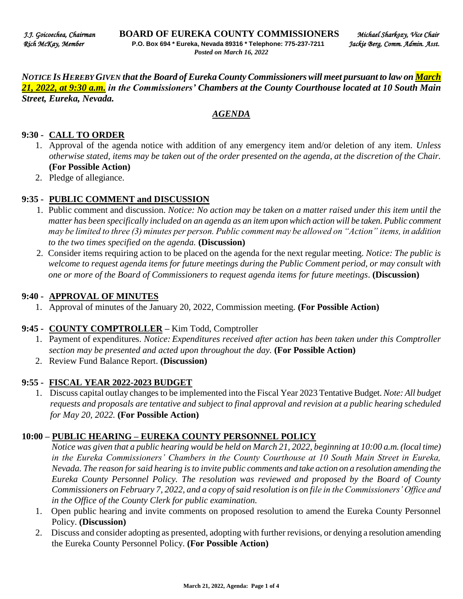*NOTICE IS HEREBY GIVEN that the Board of Eureka County Commissioners will meet pursuant to law on March 21, 2022, at 9:30 a.m. in the Commissioners' Chambers at the County Courthouse located at 10 South Main Street, Eureka, Nevada.* 

#### *AGENDA*

#### **9:30 - CALL TO ORDER**

- 1. Approval of the agenda notice with addition of any emergency item and/or deletion of any item. *Unless otherwise stated, items may be taken out of the order presented on the agenda, at the discretion of the Chair.* **(For Possible Action)**
- 2. Pledge of allegiance.

### **9:35 - PUBLIC COMMENT and DISCUSSION**

- 1. Public comment and discussion. *Notice: No action may be taken on a matter raised under this item until the matter has been specifically included on an agenda as an item upon which action will be taken. Public comment may be limited to three (3) minutes per person. Public comment may be allowed on "Action" items, in addition to the two times specified on the agenda.* **(Discussion)**
- 2. Consider items requiring action to be placed on the agenda for the next regular meeting. *Notice: The public is welcome to request agenda items for future meetings during the Public Comment period, or may consult with one or more of the Board of Commissioners to request agenda items for future meetings*. **(Discussion)**

#### **9:40 - APPROVAL OF MINUTES**

1. Approval of minutes of the January 20, 2022, Commission meeting. **(For Possible Action)** 

### **9:45 - COUNTY COMPTROLLER –** Kim Todd, Comptroller

- 1. Payment of expenditures. *Notice: Expenditures received after action has been taken under this Comptroller section may be presented and acted upon throughout the day.* **(For Possible Action)**
- 2. Review Fund Balance Report. **(Discussion)**

### **9:55 - FISCAL YEAR 2022-2023 BUDGET**

1. Discuss capital outlay changes to be implemented into the Fiscal Year 2023 Tentative Budget. *Note: All budget requests and proposals are tentative and subject to final approval and revision at a public hearing scheduled for May 20, 2022.* **(For Possible Action)**

### **10:00 – PUBLIC HEARING – EUREKA COUNTY PERSONNEL POLICY**

*Notice was given that a public hearing would be held on March 21, 2022, beginning at 10:00 a.m. (local time) in the Eureka Commissioners' Chambers in the County Courthouse at 10 South Main Street in Eureka, Nevada. The reason for said hearing is to invite public comments and take action on a resolution amending the Eureka County Personnel Policy. The resolution was reviewed and proposed by the Board of County Commissioners on February 7, 2022, and a copy of said resolution is on file in the Commissioners' Office and in the Office of the County Clerk for public examination.* 

- 1. Open public hearing and invite comments on proposed resolution to amend the Eureka County Personnel Policy. **(Discussion)**
- 2. Discuss and consider adopting as presented, adopting with further revisions, or denying a resolution amending the Eureka County Personnel Policy. **(For Possible Action)**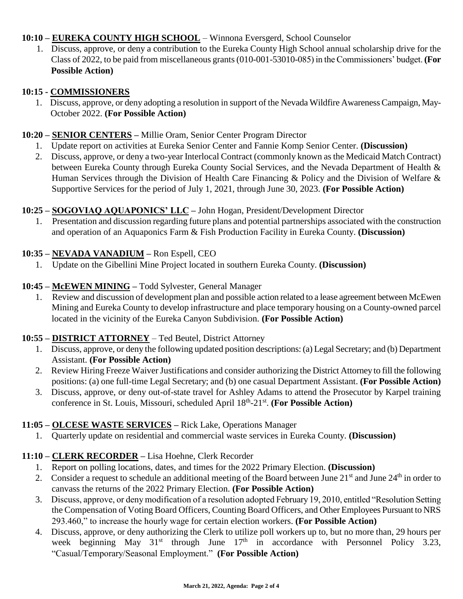## **10:10 – EUREKA COUNTY HIGH SCHOOL** – Winnona Eversgerd, School Counselor

1. Discuss, approve, or deny a contribution to the Eureka County High School annual scholarship drive for the Class of 2022, to be paid from miscellaneous grants (010-001-53010-085) in the Commissioners' budget. **(For Possible Action)** 

### **10:15 - COMMISSIONERS**

1. Discuss, approve, or deny adopting a resolution in support of the Nevada Wildfire Awareness Campaign, May-October 2022. **(For Possible Action)** 

### **10:20 – SENIOR CENTERS –** Millie Oram, Senior Center Program Director

- 1. Update report on activities at Eureka Senior Center and Fannie Komp Senior Center. **(Discussion)**
- 2. Discuss, approve, or deny a two-year Interlocal Contract (commonly known as the Medicaid Match Contract) between Eureka County through Eureka County Social Services, and the Nevada Department of Health & Human Services through the Division of Health Care Financing & Policy and the Division of Welfare & Supportive Services for the period of July 1, 2021, through June 30, 2023. **(For Possible Action)**

## **10:25 – SOGOVIAQ AQUAPONICS' LLC –** John Hogan, President/Development Director

1. Presentation and discussion regarding future plans and potential partnerships associated with the construction and operation of an Aquaponics Farm & Fish Production Facility in Eureka County. **(Discussion)** 

## **10:35 – NEVADA VANADIUM –** Ron Espell, CEO

1. Update on the Gibellini Mine Project located in southern Eureka County. **(Discussion)** 

## **10:45 – McEWEN MINING –** Todd Sylvester, General Manager

1. Review and discussion of development plan and possible action related to a lease agreement between McEwen Mining and Eureka County to develop infrastructure and place temporary housing on a County-owned parcel located in the vicinity of the Eureka Canyon Subdivision. **(For Possible Action)** 

# **10:55 – DISTRICT ATTORNEY** – Ted Beutel, District Attorney

- 1. Discuss, approve, or deny the following updated position descriptions: (a) Legal Secretary; and (b) Department Assistant. **(For Possible Action)**
- 2. Review Hiring Freeze Waiver Justifications and consider authorizing the District Attorney to fill the following positions: (a) one full-time Legal Secretary; and (b) one casual Department Assistant. **(For Possible Action)**
- 3. Discuss, approve, or deny out-of-state travel for Ashley Adams to attend the Prosecutor by Karpel training conference in St. Louis, Missouri, scheduled April 18<sup>th</sup>-21<sup>st</sup>. (For Possible Action)

# **11:05 – OLCESE WASTE SERVICES –** Rick Lake, Operations Manager

1. Quarterly update on residential and commercial waste services in Eureka County. **(Discussion)** 

# **11:10 – CLERK RECORDER –** Lisa Hoehne, Clerk Recorder

- 1. Report on polling locations, dates, and times for the 2022 Primary Election. **(Discussion)**
- 2. Consider a request to schedule an additional meeting of the Board between June 21<sup>st</sup> and June 24<sup>th</sup> in order to canvass the returns of the 2022 Primary Election. **(For Possible Action)**
- 3. Discuss, approve, or deny modification of a resolution adopted February 19, 2010, entitled "Resolution Setting the Compensation of Voting Board Officers, Counting Board Officers, and Other Employees Pursuant to NRS 293.460," to increase the hourly wage for certain election workers. **(For Possible Action)**
- 4. Discuss, approve, or deny authorizing the Clerk to utilize poll workers up to, but no more than, 29 hours per week beginning May  $31^{st}$  through June  $17^{th}$  in accordance with Personnel Policy  $3.23$ , "Casual/Temporary/Seasonal Employment." **(For Possible Action)**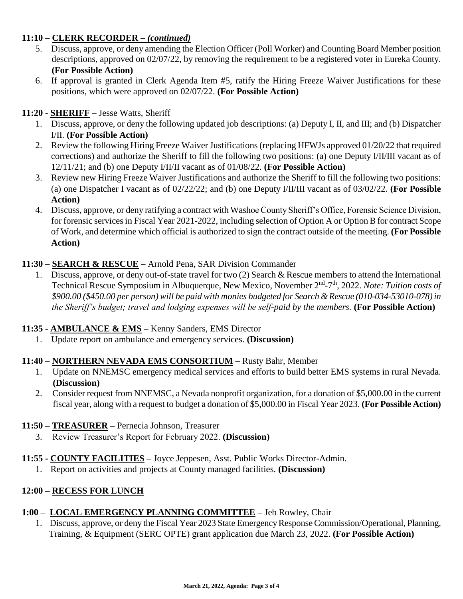## **11:10 – CLERK RECORDER** *– (continued)*

- 5. Discuss, approve, or deny amending the Election Officer (Poll Worker) and Counting Board Member position descriptions, approved on 02/07/22, by removing the requirement to be a registered voter in Eureka County. **(For Possible Action)**
- 6. If approval is granted in Clerk Agenda Item #5, ratify the Hiring Freeze Waiver Justifications for these positions, which were approved on 02/07/22. **(For Possible Action)**

## **11:20 - SHERIFF –** Jesse Watts, Sheriff

- 1. Discuss, approve, or deny the following updated job descriptions: (a) Deputy I, II, and III; and (b) Dispatcher I/II. **(For Possible Action)**
- 2. Review the following Hiring Freeze Waiver Justifications (replacing HFWJs approved 01/20/22 that required corrections) and authorize the Sheriff to fill the following two positions: (a) one Deputy I/II/III vacant as of 12/11/21; and (b) one Deputy I/II/II vacant as of 01/08/22. **(For Possible Action)**
- 3. Review new Hiring Freeze Waiver Justifications and authorize the Sheriff to fill the following two positions: (a) one Dispatcher I vacant as of 02/22/22; and (b) one Deputy I/II/III vacant as of 03/02/22. **(For Possible Action)**
- 4. Discuss, approve, or deny ratifying a contract with Washoe County Sheriff's Office, Forensic Science Division, for forensic services in Fiscal Year 2021-2022, including selection of Option A or Option B for contract Scope of Work, and determine which official is authorized to sign the contract outside of the meeting. **(For Possible Action)**

## **11:30 – SEARCH & RESCUE –** Arnold Pena, SAR Division Commander

1. Discuss, approve, or deny out-of-state travel for two (2) Search & Rescue members to attend the International Technical Rescue Symposium in Albuquerque, New Mexico, November 2<sup>nd</sup>-7<sup>th</sup>, 2022. Note: Tuition costs of *\$900.00 (\$450.00 per person) will be paid with monies budgeted for Search & Rescue (010-034-53010-078) in the Sheriff's budget; travel and lodging expenses will be self-paid by the members.* (For Possible Action)

# **11:35 - AMBULANCE & EMS –** Kenny Sanders, EMS Director

1. Update report on ambulance and emergency services. **(Discussion)** 

### **11:40 – NORTHERN NEVADA EMS CONSORTIUM –** Rusty Bahr, Member

- 1. Update on NNEMSC emergency medical services and efforts to build better EMS systems in rural Nevada. **(Discussion)**
- 2. Consider request from NNEMSC, a Nevada nonprofit organization, for a donation of \$5,000.00 in the current fiscal year, along with a request to budget a donation of \$5,000.00 in Fiscal Year 2023. **(For Possible Action)**

### **11:50 – TREASURER –** Pernecia Johnson, Treasurer

- 3. Review Treasurer's Report for February 2022. **(Discussion)**
- **11:55 - COUNTY FACILITIES –** Joyce Jeppesen, Asst. Public Works Director-Admin.
	- 1. Report on activities and projects at County managed facilities. **(Discussion)**

### **12:00 – RECESS FOR LUNCH**

### **1:00 – LOCAL EMERGENCY PLANNING COMMITTEE –** Jeb Rowley, Chair

1. Discuss, approve, or deny the Fiscal Year 2023 State Emergency Response Commission/Operational, Planning, Training, & Equipment (SERC OPTE) grant application due March 23, 2022. **(For Possible Action)**